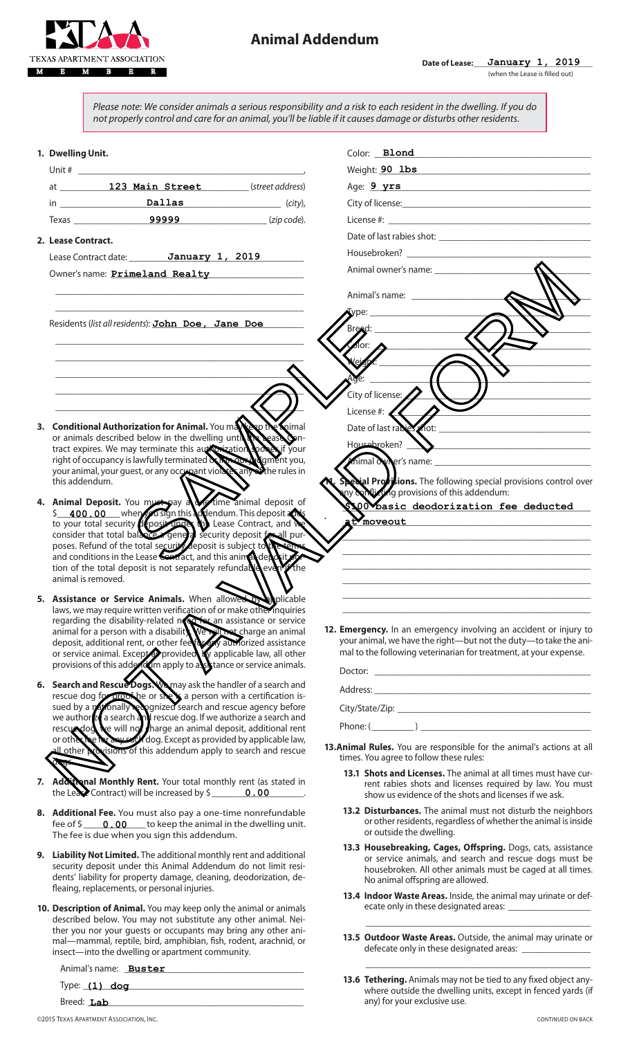

Please note: We consider animals a serious responsibility and a risk to each resident in the dwelling. If you do not properly control and care for an animal, you'll be liable if it causes damage or disturbs other residents.

| 1. Dwelling Unit.                                                                                                                                                                                                                       | Color: Blond                                                                                                                                                                                                                   |
|-----------------------------------------------------------------------------------------------------------------------------------------------------------------------------------------------------------------------------------------|--------------------------------------------------------------------------------------------------------------------------------------------------------------------------------------------------------------------------------|
|                                                                                                                                                                                                                                         | Weight: 90 lbs<br><u> 1980 - Jan Barbara (j. 1980)</u>                                                                                                                                                                         |
|                                                                                                                                                                                                                                         | Age: 9 yrs 2008 2008 2010 2020 2031 2040 2050 2060 2071 2080 2080 2081 2082 2083 2084 2085 2086 2087 2088 2089 2080 2081 2082 2083 2084 2085 2086 2087 2088 2089 2080 2081 2082 2083 2084 2085 2086 2087 2088 2089 2089 2089 2 |
| $\mathbf{In} \_\_\_\_\_\_$ $\qquad \qquad \mathbf{Dallas} \qquad \qquad (city),$                                                                                                                                                        |                                                                                                                                                                                                                                |
|                                                                                                                                                                                                                                         |                                                                                                                                                                                                                                |
| 2. Lease Contract.                                                                                                                                                                                                                      |                                                                                                                                                                                                                                |
| Lease Contract date: January 1, 2019                                                                                                                                                                                                    |                                                                                                                                                                                                                                |
| Owner's name: <b>Primeland Realty</b> Number 2014                                                                                                                                                                                       |                                                                                                                                                                                                                                |
|                                                                                                                                                                                                                                         | Animal's name: ____________________                                                                                                                                                                                            |
|                                                                                                                                                                                                                                         | Type:                                                                                                                                                                                                                          |
| Residents (list all residents): John Doe, Jane Doe                                                                                                                                                                                      | Breed:                                                                                                                                                                                                                         |
|                                                                                                                                                                                                                                         |                                                                                                                                                                                                                                |
|                                                                                                                                                                                                                                         |                                                                                                                                                                                                                                |
|                                                                                                                                                                                                                                         |                                                                                                                                                                                                                                |
|                                                                                                                                                                                                                                         | City of license:                                                                                                                                                                                                               |
|                                                                                                                                                                                                                                         | License #: $\leq$                                                                                                                                                                                                              |
|                                                                                                                                                                                                                                         |                                                                                                                                                                                                                                |
| 3. Conditional Authorization for Animal. You may be the Soimal<br>or animals described below in the dwelling until the bease on-<br>tract expires. We may terminate this authorization sport of your                                    | Housekroken? N                                                                                                                                                                                                                 |
| right of occupancy is lawfully terminated with an undertity you,                                                                                                                                                                        | mimal owner's name:                                                                                                                                                                                                            |
| your animal, your guest, or any occupant violates any other rules in<br>this addendum.                                                                                                                                                  | <b>Sexial Provisions.</b> The following special provisions control over                                                                                                                                                        |
|                                                                                                                                                                                                                                         | ny only ting provisions of this addendum:                                                                                                                                                                                      |
| 4. Animal Deposit. You must pay a time animal deposit of                                                                                                                                                                                | 00 basic deodorization fee deducted                                                                                                                                                                                            |
|                                                                                                                                                                                                                                         | moveout                                                                                                                                                                                                                        |
| consider that total balance a general security deposit for all pur-<br>poses. Refund of the total security deposit is subject to the terms                                                                                              |                                                                                                                                                                                                                                |
| and conditions in the Lease Contract, and this animal deposits                                                                                                                                                                          | <u> 1989 - Johann Harry Harry Harry Harry Harry Harry Harry Harry Harry Harry Harry Harry Harry Harry Harry Harry</u>                                                                                                          |
| tion of the total deposit is not separately refundable every the<br>animal is removed.                                                                                                                                                  |                                                                                                                                                                                                                                |
| 5. Assistance or Service Animals. When allowed to ploicable                                                                                                                                                                             |                                                                                                                                                                                                                                |
| laws, we may require written verification of or make other inquiries                                                                                                                                                                    |                                                                                                                                                                                                                                |
| regarding the disability-related report an assistance or service<br>animal for a person with a disability<br>deposit, additional rent, or other feed to your authorized assistance<br>or service animal. Except to provided the applica | 12. Emergency. In an emergency involving an accident or injury to                                                                                                                                                              |
|                                                                                                                                                                                                                                         | your animal, we have the right-but not the duty-to take the ani-                                                                                                                                                               |
| provisions of this add not imapply to a station or service animals.                                                                                                                                                                     | mal to the following veterinarian for treatment, at your expense.                                                                                                                                                              |
|                                                                                                                                                                                                                                         |                                                                                                                                                                                                                                |
| 6. Search and Rescue Dogs. Manay ask the handler of a search and                                                                                                                                                                        |                                                                                                                                                                                                                                |
| rescue dog for proof he or shell a person with a certification is-<br>sued by a <i>nationally</i> recognized search and rescue agency before                                                                                            |                                                                                                                                                                                                                                |
|                                                                                                                                                                                                                                         | Phone: $(\_\_)$                                                                                                                                                                                                                |
| we author as earch and rescue dog. If we authorize a search and<br>rescue dog will not harge an animal deposit, additional rent<br>or other the music dog. Except as provided by applicable law,                                        | 13. Animal Rules. You are responsible for the animal's actions at all                                                                                                                                                          |
| deux.                                                                                                                                                                                                                                   | times. You agree to follow these rules:                                                                                                                                                                                        |
| 7. Additional Monthly Rent. Your total monthly rent (as stated in<br>the Lease Contract) will be increased by $\frac{1}{2}$ 0.00                                                                                                        | 13.1 Shots and Licenses. The animal at all times must have cur-<br>rent rabies shots and licenses required by law. You must<br>show us evidence of the shots and licenses if we ask.                                           |
| 8. Additional Fee. You must also pay a one-time nonrefundable<br>fee of $\frac{1}{2}$ 0.00 to keep the animal in the dwelling unit.<br>The fee is due when you sign this addendum.                                                      | 13.2 Disturbances. The animal must not disturb the neighbors<br>or other residents, regardless of whether the animal is inside<br>or outside the dwelling.                                                                     |
| 9. Liability Not Limited. The additional monthly rent and additional<br>security deposit under this Animal Addendum do not limit resi-                                                                                                  | 13.3 Housebreaking, Cages, Offspring. Dogs, cats, assistance<br>or service animals, and search and rescue dogs must be<br>housebroken. All other animals must be caged at all times.                                           |
| dents' liability for property damage, cleaning, deodorization, de-<br>fleaing, replacements, or personal injuries.                                                                                                                      | No animal offspring are allowed.                                                                                                                                                                                               |
| 10. Description of Animal. You may keep only the animal or animals                                                                                                                                                                      | 13.4 Indoor Waste Areas. Inside, the animal may urinate or def-                                                                                                                                                                |
| described below. You may not substitute any other animal. Nei-                                                                                                                                                                          |                                                                                                                                                                                                                                |
| ther you nor your guests or occupants may bring any other ani-<br>mal-mammal, reptile, bird, amphibian, fish, rodent, arachnid, or<br>insect-into the dwelling or apartment community.                                                  | 13.5 Outdoor Waste Areas. Outside, the animal may urinate or                                                                                                                                                                   |
| Animal's name: <b>Buster Example 2018</b>                                                                                                                                                                                               |                                                                                                                                                                                                                                |
|                                                                                                                                                                                                                                         | 13.6 Tethering. Animals may not be tied to any fixed object any-<br>where outside the dwelling units, except in fenced yards (if                                                                                               |
| Breed: Lab                                                                                                                                                                                                                              | any) for your exclusive use.                                                                                                                                                                                                   |